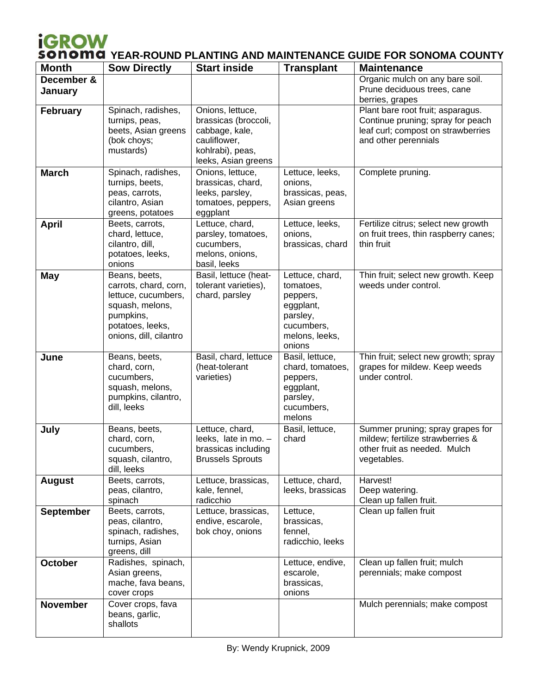## **YEAR-ROUND PLANTING AND MAINTENANCE GUIDE FOR SONOMA COUNTY**

| <b>Month</b>          | <b>Sow Directly</b>                                                                                                                         | <b>Start inside</b>                                                                                                   | <b>Transplant</b>                                                                                           | <b>Maintenance</b>                                                                                                                   |
|-----------------------|---------------------------------------------------------------------------------------------------------------------------------------------|-----------------------------------------------------------------------------------------------------------------------|-------------------------------------------------------------------------------------------------------------|--------------------------------------------------------------------------------------------------------------------------------------|
| December &<br>January |                                                                                                                                             |                                                                                                                       |                                                                                                             | Organic mulch on any bare soil.<br>Prune deciduous trees, cane<br>berries, grapes                                                    |
| <b>February</b>       | Spinach, radishes,<br>turnips, peas,<br>beets, Asian greens<br>(bok choys;<br>mustards)                                                     | Onions, lettuce,<br>brassicas (broccoli,<br>cabbage, kale,<br>cauliflower,<br>kohlrabi), peas,<br>leeks, Asian greens |                                                                                                             | Plant bare root fruit; asparagus.<br>Continue pruning; spray for peach<br>leaf curl; compost on strawberries<br>and other perennials |
| <b>March</b>          | Spinach, radishes,<br>turnips, beets,<br>peas, carrots,<br>cilantro, Asian<br>greens, potatoes                                              | Onions, lettuce,<br>brassicas, chard,<br>leeks, parsley,<br>tomatoes, peppers,<br>eggplant                            | Lettuce, leeks,<br>onions,<br>brassicas, peas,<br>Asian greens                                              | Complete pruning.                                                                                                                    |
| <b>April</b>          | Beets, carrots,<br>chard, lettuce,<br>cilantro, dill,<br>potatoes, leeks,<br>onions                                                         | Lettuce, chard,<br>parsley, tomatoes,<br>cucumbers,<br>melons, onions,<br>basil, leeks                                | Lettuce, leeks,<br>onions,<br>brassicas, chard                                                              | Fertilize citrus; select new growth<br>on fruit trees, thin raspberry canes;<br>thin fruit                                           |
| <b>May</b>            | Beans, beets,<br>carrots, chard, corn,<br>lettuce, cucumbers,<br>squash, melons,<br>pumpkins,<br>potatoes, leeks,<br>onions, dill, cilantro | Basil, lettuce (heat-<br>tolerant varieties),<br>chard, parsley                                                       | Lettuce, chard,<br>tomatoes,<br>peppers,<br>eggplant,<br>parsley,<br>cucumbers,<br>melons, leeks,<br>onions | Thin fruit; select new growth. Keep<br>weeds under control.                                                                          |
| June                  | Beans, beets,<br>chard, corn,<br>cucumbers,<br>squash, melons,<br>pumpkins, cilantro,<br>dill, leeks                                        | Basil, chard, lettuce<br>(heat-tolerant<br>varieties)                                                                 | Basil, lettuce,<br>chard, tomatoes,<br>peppers,<br>eggplant,<br>parsley,<br>cucumbers,<br>melons            | Thin fruit; select new growth; spray<br>grapes for mildew. Keep weeds<br>under control.                                              |
| July                  | Beans, beets,<br>chard, corn,<br>cucumbers,<br>squash, cilantro,<br>dill, leeks                                                             | Lettuce, chard,<br>leeks, late in mo. -<br>brassicas including<br><b>Brussels Sprouts</b>                             | Basil, lettuce,<br>chard                                                                                    | Summer pruning; spray grapes for<br>mildew; fertilize strawberries &<br>other fruit as needed. Mulch<br>vegetables.                  |
| <b>August</b>         | Beets, carrots,<br>peas, cilantro,<br>spinach                                                                                               | Lettuce, brassicas,<br>kale, fennel,<br>radicchio                                                                     | Lettuce, chard,<br>leeks, brassicas                                                                         | Harvest!<br>Deep watering.<br>Clean up fallen fruit.                                                                                 |
| <b>September</b>      | Beets, carrots,<br>peas, cilantro,<br>spinach, radishes,<br>turnips, Asian<br>greens, dill                                                  | Lettuce, brassicas,<br>endive, escarole,<br>bok choy, onions                                                          | Lettuce,<br>brassicas,<br>fennel,<br>radicchio, leeks                                                       | Clean up fallen fruit                                                                                                                |
| <b>October</b>        | Radishes, spinach,<br>Asian greens,<br>mache, fava beans,<br>cover crops                                                                    |                                                                                                                       | Lettuce, endive,<br>escarole,<br>brassicas,<br>onions                                                       | Clean up fallen fruit; mulch<br>perennials; make compost                                                                             |
| <b>November</b>       | Cover crops, fava<br>beans, garlic,<br>shallots                                                                                             |                                                                                                                       |                                                                                                             | Mulch perennials; make compost                                                                                                       |